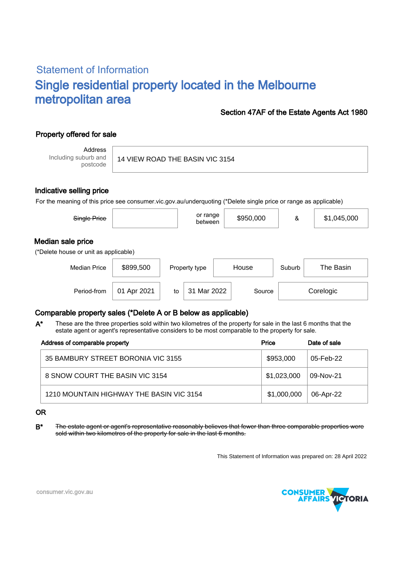# Statement of Information Single residential property located in the Melbourne metropolitan area

#### Section 47AF of the Estate Agents Act 1980

## Property offered for sale

Address Including suburb and postcode

14 VIEW ROAD THE BASIN VIC 3154

#### Indicative selling price

For the meaning of this price see consumer.vic.gov.au/underquoting (\*Delete single price or range as applicable)

| Single Price                                               |             |    | or range<br>between |       | \$950,000 | &      | \$1,045,000 |  |
|------------------------------------------------------------|-------------|----|---------------------|-------|-----------|--------|-------------|--|
| Median sale price<br>(*Delete house or unit as applicable) |             |    |                     |       |           |        |             |  |
| <b>Median Price</b>                                        | \$899,500   |    | Property type       | House |           | Suburb | The Basin   |  |
| Period-from                                                | 01 Apr 2021 | to | Mar 2022<br>31      |       | Source    |        | Corelogic   |  |

### Comparable property sales (\*Delete A or B below as applicable)

These are the three properties sold within two kilometres of the property for sale in the last 6 months that the estate agent or agent's representative considers to be most comparable to the property for sale. A\*

| Address of comparable property           | Price       | Date of sale |
|------------------------------------------|-------------|--------------|
| 35 BAMBURY STREET BORONIA VIC 3155       | \$953,000   | 05-Feb-22    |
| 8 SNOW COURT THE BASIN VIC 3154          | \$1,023,000 | 09-Nov-21    |
| 1210 MOUNTAIN HIGHWAY THE BASIN VIC 3154 | \$1,000,000 | 06-Apr-22    |

#### OR

B<sup>\*</sup> The estate agent or agent's representative reasonably believes that fewer than three comparable properties were sold within two kilometres of the property for sale in the last 6 months.

This Statement of Information was prepared on: 28 April 2022



consumer.vic.gov.au